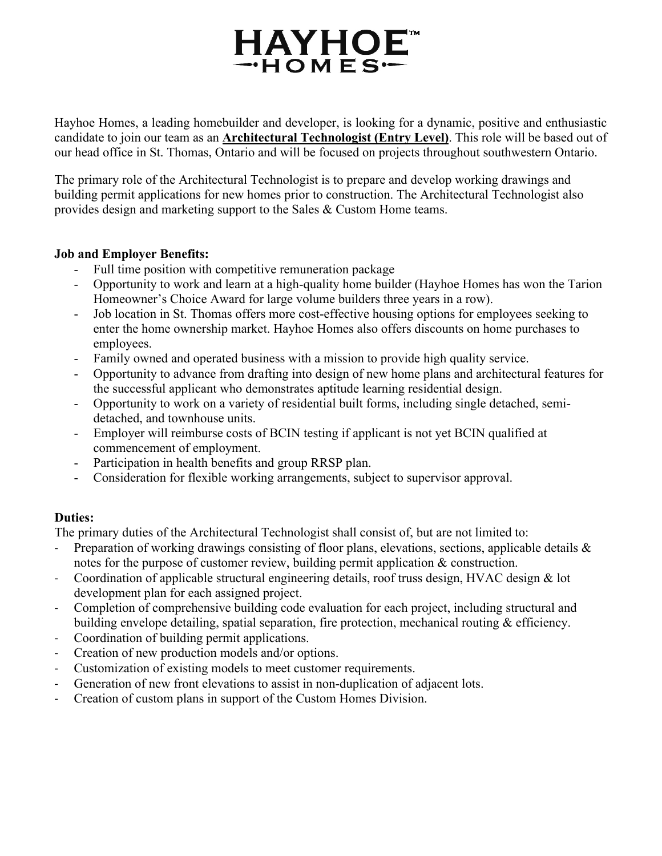# **HAYHOE**  $-HOMES$

Hayhoe Homes, a leading homebuilder and developer, is looking for a dynamic, positive and enthusiastic candidate to join our team as an **Architectural Technologist (Entry Level)**. This role will be based out of our head office in St. Thomas, Ontario and will be focused on projects throughout southwestern Ontario.

The primary role of the Architectural Technologist is to prepare and develop working drawings and building permit applications for new homes prior to construction. The Architectural Technologist also provides design and marketing support to the Sales & Custom Home teams.

## **Job and Employer Benefits:**

- Full time position with competitive remuneration package
- Opportunity to work and learn at a high-quality home builder (Hayhoe Homes has won the Tarion Homeowner's Choice Award for large volume builders three years in a row).
- Job location in St. Thomas offers more cost-effective housing options for employees seeking to enter the home ownership market. Hayhoe Homes also offers discounts on home purchases to employees.
- Family owned and operated business with a mission to provide high quality service.
- Opportunity to advance from drafting into design of new home plans and architectural features for the successful applicant who demonstrates aptitude learning residential design.
- Opportunity to work on a variety of residential built forms, including single detached, semidetached, and townhouse units.
- Employer will reimburse costs of BCIN testing if applicant is not yet BCIN qualified at commencement of employment.
- Participation in health benefits and group RRSP plan.
- Consideration for flexible working arrangements, subject to supervisor approval.

# **Duties:**

The primary duties of the Architectural Technologist shall consist of, but are not limited to:

- Preparation of working drawings consisting of floor plans, elevations, sections, applicable details & notes for the purpose of customer review, building permit application & construction.
- ‐ Coordination of applicable structural engineering details, roof truss design, HVAC design & lot development plan for each assigned project.
- ‐ Completion of comprehensive building code evaluation for each project, including structural and building envelope detailing, spatial separation, fire protection, mechanical routing & efficiency.
- ‐ Coordination of building permit applications.
- Creation of new production models and/or options.
- ‐ Customization of existing models to meet customer requirements.
- Generation of new front elevations to assist in non-duplication of adjacent lots.
- ‐ Creation of custom plans in support of the Custom Homes Division.